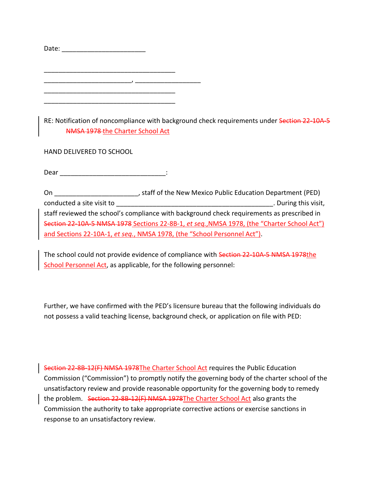| Date: |                                  |                                                                                             |  |
|-------|----------------------------------|---------------------------------------------------------------------------------------------|--|
|       |                                  |                                                                                             |  |
|       |                                  |                                                                                             |  |
|       |                                  |                                                                                             |  |
|       |                                  |                                                                                             |  |
|       |                                  |                                                                                             |  |
|       |                                  |                                                                                             |  |
|       |                                  |                                                                                             |  |
|       |                                  | RE: Notification of noncompliance with background check requirements under Section 22-10A-5 |  |
|       | NMSA 1978 the Charter School Act |                                                                                             |  |

HAND DELIVERED TO SCHOOL

 $\noindent \text{Dear}$   $\qquad \qquad \text{.}$ 

On \_\_\_\_\_\_\_\_\_\_\_\_\_\_\_\_\_\_\_\_\_\_\_, staff of the New Mexico Public Education Department (PED) conducted a site visit to **conducted** a site visit to **and a site visit**,  $\overline{a}$  and  $\overline{b}$  and  $\overline{c}$  and  $\overline{d}$  and  $\overline{c}$  and  $\overline{d}$  and  $\overline{d}$  and  $\overline{d}$  and  $\overline{d}$  and  $\overline{d}$  and  $\overline{d}$  and  $\overline{$ staff reviewed the school's compliance with background check requirements as prescribed in Section 22-10A-5 NMSA 1978 Sections 22-8B-1, *et seq.*,NMSA 1978, (the "Charter School Act") and Sections 22-10A-1, *et seq.*, NMSA 1978, (the "School Personnel Act").

The school could not provide evidence of compliance with Section 22-10A-5 NMSA 1978the School Personnel Act, as applicable, for the following personnel:

Further, we have confirmed with the PED's licensure bureau that the following individuals do not possess a valid teaching license, background check, or application on file with PED:

Section 22-8B-12(F) NMSA 1978The Charter School Act requires the Public Education Commission ("Commission") to promptly notify the governing body of the charter school of the unsatisfactory review and provide reasonable opportunity for the governing body to remedy the problem. Section 22-8B-12(F) NMSA 1978The Charter School Act also grants the Commission the authority to take appropriate corrective actions or exercise sanctions in response to an unsatisfactory review.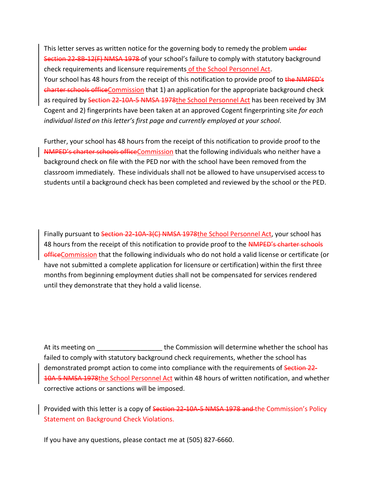This letter serves as written notice for the governing body to remedy the problem under Section 22-8B-12(F) NMSA 1978 of your school's failure to comply with statutory background check requirements and licensure requirements of the School Personnel Act. Your school has 48 hours from the receipt of this notification to provide proof to the NMPED's charter schools officeCommission that 1) an application for the appropriate background check as required by Section 22-10A-5 NMSA 1978the School Personnel Act has been received by 3M Cogent and 2) fingerprints have been taken at an approved Cogent fingerprinting site *for each individual listed on this letter's first page and currently employed at your school*.

Further, your school has 48 hours from the receipt of this notification to provide proof to the NMPED's charter schools officeCommission that the following individuals who neither have a background check on file with the PED nor with the school have been removed from the classroom immediately. These individuals shall not be allowed to have unsupervised access to students until a background check has been completed and reviewed by the school or the PED.

Finally pursuant to Section 22-10A-3(C) NMSA 1978the School Personnel Act, your school has 48 hours from the receipt of this notification to provide proof to the **NMPED's charter schools** officeCommission that the following individuals who do not hold a valid license or certificate (or have not submitted a complete application for licensure or certification) within the first three months from beginning employment duties shall not be compensated for services rendered until they demonstrate that they hold a valid license.

At its meeting on Table 1 and the Commission will determine whether the school has failed to comply with statutory background check requirements, whether the school has demonstrated prompt action to come into compliance with the requirements of Section 22-10A-5 NMSA 1978the School Personnel Act within 48 hours of written notification, and whether corrective actions or sanctions will be imposed.

Provided with this letter is a copy of Section 22-10A-5 NMSA 1978 and the Commission's Policy Statement on Background Check Violations.

If you have any questions, please contact me at (505) 827-6660.